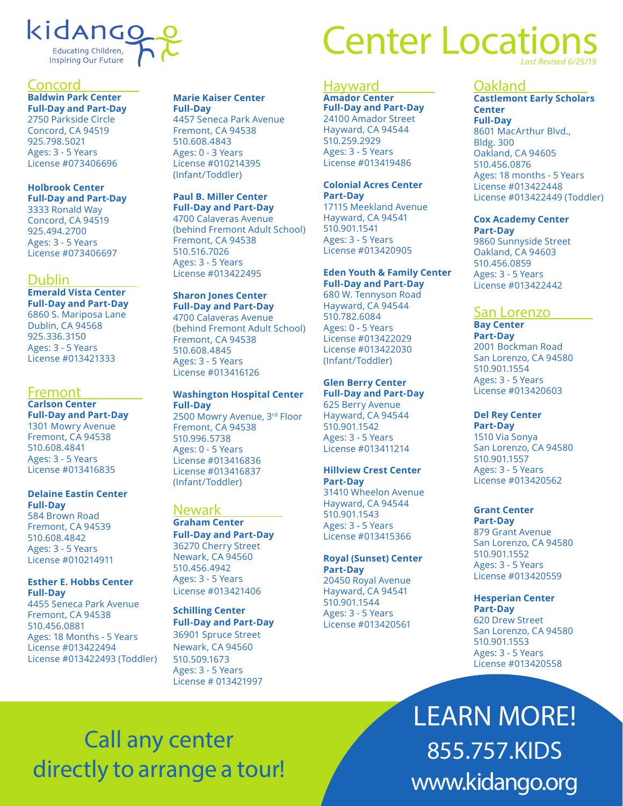## kidango Educating Children, Inspiring Our Future

## Concord

**Baldwin Park Center Full-Day and Part-Day** 2750 Parkside Circle Concord, CA 94519 925.798.5021 Ages: 3 - 5 Years License #073406696

## **Holbrook Center Full-Day and Part-Day**

3333 Ronald Way Concord, CA 94519 925.494.2700 Ages: 3 - 5 Years License #073406697

## Dublin

**Emerald Vista Center Full-Day and Part-Day** 6860 S. Mariposa Lane Dublin, CA 94568 925.336.3150 Ages: 3 - 5 Years License #013421333

## Fremont

**Carlson Center Full-Day and Part-Day** 1301 Mowry Avenue Fremont, CA 94538 510.608.4841 Ages: 3 - 5 Years License #013416835

#### **Delaine Eastin Center Full-Day**

584 Brown Road Fremont, CA 94539 510.608.4842 Ages: 3 - 5 Years License #010214911

#### **Esther E. Hobbs Center Full-Day**

4455 Seneca Park Avenue Fremont, CA 94538 510.456.0881 Ages: 18 Months - 5 Years License #013422494 License #013422493 (Toddler)

## **Marie Kaiser Center**

**Full-Day** 4457 Seneca Park Avenue Fremont, CA 94538 510.608.4843 Ages: 0 - 3 Years License #010214395 (Infant/Toddler)

### **Paul B. Miller Center**

**Full-Day and Part-Day** 4700 Calaveras Avenue (behind Fremont Adult School) Fremont, CA 94538 510.516.7026 Ages: 3 - 5 Years License #013422495

## **Sharon Jones Center**

**Full-Day and Part-Day** 4700 Calaveras Avenue (behind Fremont Adult School) Fremont, CA 94538 510.608.4845 Ages: 3 - 5 Years License #013416126

#### **Washington Hospital Center Full-Day** 2500 Mowry Avenue, 3rd Floor Fremont, CA 94538

510.996.5738 Ages: 0 - 5 Years License #013416836 License #013416837 (Infant/Toddler)

## **Newark**

**Graham Center Full-Day and Part-Day** 36270 Cherry Street Newark, CA 94560 510.456.4942 Ages: 3 - 5 Years License #013421406

## **Schilling Center**

**Full-Day and Part-Day** 36901 Spruce Street Newark, CA 94560 510.509.1673 Ages: 3 - 5 Years License # 013421997

# **Center Location** *Last Revised 6/25/19*

## Hayward **Amador Center**

**Full-Day and Part-Day** 24100 Amador Street Hayward, CA 94544 510.259.2929 Ages: 3 - 5 Years License #013419486

#### **Colonial Acres Center Part-Day**

17115 Meekland Avenue Hayward, CA 94541 510.901.1541 Ages: 3 - 5 Years License #013420905

#### **Eden Youth & Family Center Full-Day and Part-Day**

680 W. Tennyson Road Hayward, CA 94544 510.782.6084 Ages: 0 - 5 Years License #013422029 License #013422030 (Infant/Toddler)

#### **Glen Berry Center Full-Day and Part-Day**

625 Berry Avenue Hayward, CA 94544 510.901.1542 Ages: 3 - 5 Years License #013411214

#### **Hillview Crest Center Part-Day**

31410 Wheelon Avenue Hayward, CA 94544 510.901.1543 Ages: 3 - 5 Years License #013415366

## **Royal (Sunset) Center Part-Day**

20450 Royal Avenue Hayward, CA 94541 510.901.1544 Ages: 3 - 5 Years License #013420561

## Oakland

**Castlemont Early Scholars Center Full-Day** 8601 MacArthur Blvd., Bldg. 300 Oakland, CA 94605 510.456.0876 Ages: 18 months - 5 Years License #013422448 License #013422449 (Toddler)

## **Cox Academy Center**

**Part-Day** 9860 Sunnyside Street Oakland, CA 94603 510.456.0859 Ages: 3 - 5 Years License #013422442

## San Lorenzo

**Bay Center Part-Day** 2001 Bockman Road San Lorenzo, CA 94580 510.901.1554 Ages: 3 - 5 Years License #013420603

## **Del Rey Center**

**Part-Day** 1510 Via Sonya San Lorenzo, CA 94580 510.901.1557 Ages: 3 - 5 Years License #013420562

#### **Grant Center Part-Day**

879 Grant Avenue San Lorenzo, CA 94580 510.901.1552 Ages: 3 - 5 Years License #013420559

#### **Hesperian Center Part-Day**

620 Drew Street San Lorenzo, CA 94580 510.901.1553 Ages: 3 - 5 Years License #013420558

LEARN MORE! 855.757.KIDS www.kidango.org

# Call any center directly to arrange a tour!